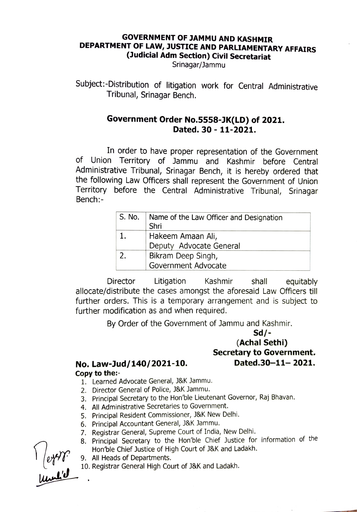## GOVERNMENT OF JAMMU AND KASHMIR DEPARTMENT OF LAW, JUSTICE AND PARLIAMENTARY AFFAIRS (Judicial Adm Section) Civil Secretariat

Srinagar/Jammu

Subject:-Distribution of litigation work for Central Administrative Tribunal, Srinagar Bench.

## Government Order No.5558-JK(LD) of 2021. Dated. 30 - 11-2021.

In order to have proper representation of the Government of Union Territory of Jammu and Kashmir before Central Administrative Tribunal, Srinagar Bench, it is hereby ordered that the following Law officers shall represent the Government of Union Territory before the Central Administrative Tribunal, Srinagar Bench:-

| S. No. | Name of the Law Officer and Designation<br>Shri |
|--------|-------------------------------------------------|
|        | Hakeem Amaan Ali,<br>Deputy Advocate General    |
| 2.     | Bikram Deep Singh,<br>Government Advocate       |

Director Litigation Kashmir shall equitably allocate/distribute the cases amongst the aforesaid Law Officers til further orders. This is a temporary arrangement and is subject to further modification as and when required.

By Order of the Government of Jammu and Kashmir.

## Sd/- (Achal Sethi) Secretary to Government. Dated.30-11-2021.

## No. Law-Jud/140/2021-10. Copy to the:

- 1. Learned Advocate General, J&K Jammu
- 2. Director General of Police, J&K Jammu.
- 3. Principal Secretary to the Hon'ble Lieutenant Governor, Raj Bhavan.
- 4. All Administrative Secretaries to Government.
- 5. Principal Resident Commissioner, J&K New Delhi.
- 6. Principal Accountant General, J&K Jammu.
- 7. Registrar General, Supreme Court of India, New Delhi.
- 8. Principal Secretary to the Hon'ble Chief Justice for information of the Hon'ble Chief Justice of High Court of J&K and Ladakh.
- All Heads of Departments. 9.
- 10. Registrar General High Court of J&K and Ladakh.

 $\frac{1}{1}$  (eyer)